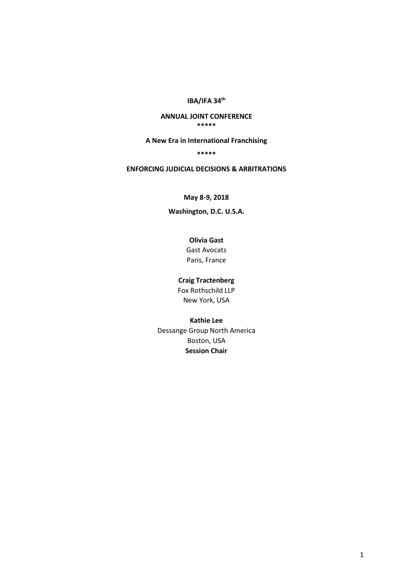**IBA/IFA 34th**

#### **ANNUAL JOINT CONFERENCE \*\*\*\*\***

#### **A New Era in International Franchising**

#### **\*\*\*\*\***

#### **ENFORCING JUDICIAL DECISIONS & ARBITRATIONS**

## **May 8-9, 2018**

## **Washington, D.C. U.S.A.**

# **Olivia Gast**

Gast Avocats Paris, France

#### **Craig Tractenberg**

Fox Rothschild LLP New York, USA

#### **Kathie Lee**

Dessange Group North America Boston, USA **Session Chair**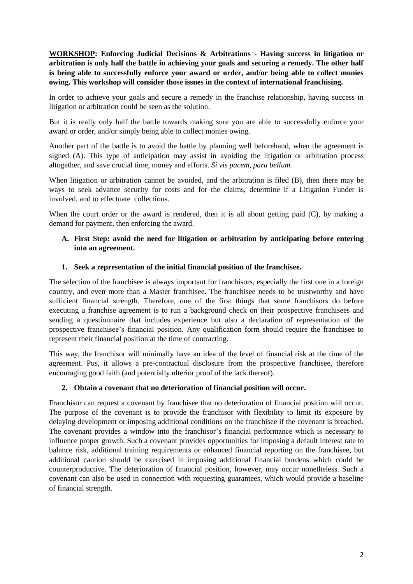**WORKSHOP: Enforcing Judicial Decisions & Arbitrations - Having success in litigation or arbitration is only half the battle in achieving your goals and securing a remedy. The other half is being able to successfully enforce your award or order, and/or being able to collect monies owing. This workshop will consider those issues in the context of international franchising.**

In order to achieve your goals and secure a remedy in the franchise relationship, having success in litigation or arbitration could be seen as the solution.

But it is really only half the battle towards making sure you are able to successfully enforce your award or order, and/or simply being able to collect monies owing.

Another part of the battle is to avoid the battle by planning well beforehand, when the agreement is signed (A). This type of anticipation may assist in avoiding the litigation or arbitration process altogether, and save crucial time, money and efforts. *Si vis pacem, para bellum.*

When litigation or arbitration cannot be avoided, and the arbitration is filed (B), then there may be ways to seek advance security for costs and for the claims, determine if a Litigation Funder is involved, and to effectuate collections.

When the court order or the award is rendered, then it is all about getting paid (C), by making a demand for payment, then enforcing the award.

## **A. First Step: avoid the need for litigation or arbitration by anticipating before entering into an agreement.**

#### **1. Seek a representation of the initial financial position of the franchisee.**

The selection of the franchisee is always important for franchisors, especially the first one in a foreign country, and even more than a Master franchisee. The franchisee needs to be trustworthy and have sufficient financial strength. Therefore, one of the first things that some franchisors do before executing a franchise agreement is to run a background check on their prospective franchisees and sending a questionnaire that includes experience but also a declaration of representation of the prospective franchisee's financial position. Any qualification form should require the franchisee to represent their financial position at the time of contracting.

This way, the franchisor will minimally have an idea of the level of financial risk at the time of the agreement. Pus, it allows a pre-contractual disclosure from the prospective franchisee, therefore encouraging good faith (and potentially ulterior proof of the lack thereof).

## **2. Obtain a covenant that no deterioration of financial position will occur.**

Franchisor can request a covenant by franchisee that no deterioration of financial position will occur. The purpose of the covenant is to provide the franchisor with flexibility to limit its exposure by delaying development or imposing additional conditions on the franchisee if the covenant is breached. The covenant provides a window into the franchisor's financial performance which is necessary to influence proper growth. Such a covenant provides opportunities for imposing a default interest rate to balance risk, additional training requirements or enhanced financial reporting on the franchisee, but additional caution should be exercised in imposing additional financial burdens which could be counterproductive. The deterioration of financial position, however, may occur nonetheless. Such a covenant can also be used in connection with requesting guarantees, which would provide a baseline of financial strength.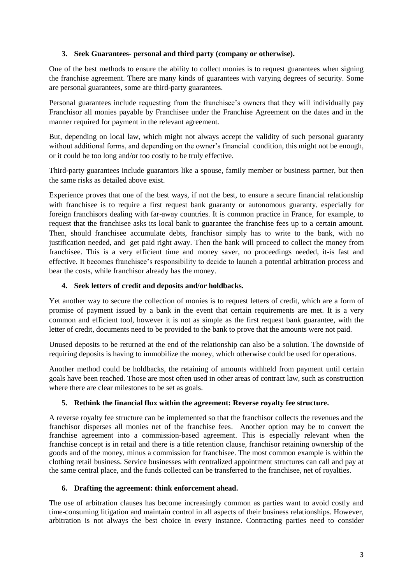## **3. Seek Guarantees- personal and third party (company or otherwise).**

One of the best methods to ensure the ability to collect monies is to request guarantees when signing the franchise agreement. There are many kinds of guarantees with varying degrees of security. Some are personal guarantees, some are third-party guarantees.

Personal guarantees include requesting from the franchisee's owners that they will individually pay Franchisor all monies payable by Franchisee under the Franchise Agreement on the dates and in the manner required for payment in the relevant agreement.

But, depending on local law, which might not always accept the validity of such personal guaranty without additional forms, and depending on the owner's financial condition, this might not be enough, or it could be too long and/or too costly to be truly effective.

Third-party guarantees include guarantors like a spouse, family member or business partner, but then the same risks as detailed above exist.

Experience proves that one of the best ways, if not the best, to ensure a secure financial relationship with franchisee is to require a first request bank guaranty or autonomous guaranty, especially for foreign franchisors dealing with far-away countries. It is common practice in France, for example, to request that the franchisee asks its local bank to guarantee the franchise fees up to a certain amount. Then, should franchisee accumulate debts, franchisor simply has to write to the bank, with no justification needed, and get paid right away. Then the bank will proceed to collect the money from franchisee. This is a very efficient time and money saver, no proceedings needed, it-is fast and effective. It becomes franchisee's responsibility to decide to launch a potential arbitration process and bear the costs, while franchisor already has the money.

#### **4. Seek letters of credit and deposits and/or holdbacks.**

Yet another way to secure the collection of monies is to request letters of credit, which are a form of promise of payment issued by a bank in the event that certain requirements are met. It is a very common and efficient tool, however it is not as simple as the first request bank guarantee, with the letter of credit, documents need to be provided to the bank to prove that the amounts were not paid.

Unused deposits to be returned at the end of the relationship can also be a solution. The downside of requiring deposits is having to immobilize the money, which otherwise could be used for operations.

Another method could be holdbacks, the retaining of amounts withheld from payment until certain goals have been reached. Those are most often used in other areas of contract law, such as construction where there are clear milestones to be set as goals.

## **5. Rethink the financial flux within the agreement: Reverse royalty fee structure.**

A reverse royalty fee structure can be implemented so that the franchisor collects the revenues and the franchisor disperses all monies net of the franchise fees. Another option may be to convert the franchise agreement into a commission-based agreement. This is especially relevant when the franchise concept is in retail and there is a title retention clause, franchisor retaining ownership of the goods and of the money, minus a commission for franchisee. The most common example is within the clothing retail business. Service businesses with centralized appointment structures can call and pay at the same central place, and the funds collected can be transferred to the franchisee, net of royalties.

#### **6. Drafting the agreement: think enforcement ahead.**

The use of arbitration clauses has become increasingly common as parties want to avoid costly and time-consuming litigation and maintain control in all aspects of their business relationships. However, arbitration is not always the best choice in every instance. Contracting parties need to consider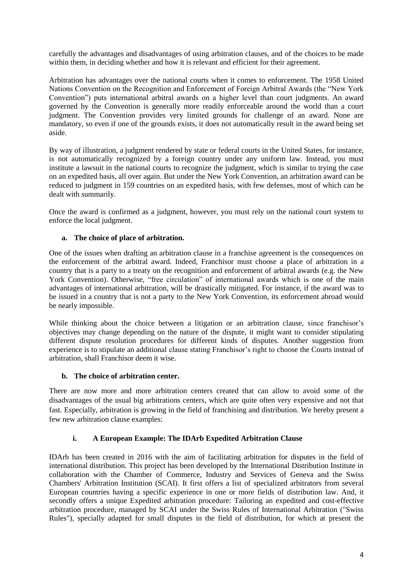carefully the advantages and disadvantages of using arbitration clauses, and of the choices to be made within them, in deciding whether and how it is relevant and efficient for their agreement.

Arbitration has advantages over the national courts when it comes to enforcement. The 1958 United Nations Convention on the Recognition and Enforcement of Foreign Arbitral Awards (the "New York Convention") puts international arbitral awards on a higher level than court judgments. An award governed by the Convention is generally more readily enforceable around the world than a court judgment. The Convention provides very limited grounds for challenge of an award. None are mandatory, so even if one of the grounds exists, it does not automatically result in the award being set aside.

By way of illustration, a judgment rendered by state or federal courts in the United States, for instance, is not automatically recognized by a foreign country under any uniform law. Instead, you must institute a lawsuit in the national courts to recognize the judgment, which is similar to trying the case on an expedited basis, all over again. But under the New York Convention, an arbitration award can be reduced to judgment in 159 countries on an expedited basis, with few defenses, most of which can be dealt with summarily.

Once the award is confirmed as a judgment, however, you must rely on the national court system to enforce the local judgment.

## **a. The choice of place of arbitration.**

One of the issues when drafting an arbitration clause in a franchise agreement is the consequences on the enforcement of the arbitral award. Indeed, Franchisor must choose a place of arbitration in a country that is a party to a treaty on the recognition and enforcement of arbitral awards (e.g. the New York Convention). Otherwise, "free circulation" of international awards which is one of the main advantages of international arbitration, will be drastically mitigated. For instance, if the award was to be issued in a country that is not a party to the New York Convention, its enforcement abroad would be nearly impossible.

While thinking about the choice between a litigation or an arbitration clause, since franchisor's objectives may change depending on the nature of the dispute, it might want to consider stipulating different dispute resolution procedures for different kinds of disputes. Another suggestion from experience is to stipulate an additional clause stating Franchisor's right to choose the Courts instead of arbitration, shall Franchisor deem it wise.

#### **b. The choice of arbitration center.**

There are now more and more arbitration centers created that can allow to avoid some of the disadvantages of the usual big arbitrations centers, which are quite often very expensive and not that fast. Especially, arbitration is growing in the field of franchising and distribution. We hereby present a few new arbitration clause examples:

## **i. A European Example: The IDArb Expedited Arbitration Clause**

IDArb has been created in 2016 with the aim of facilitating arbitration for disputes in the field of international distribution. This project has been developed by the International Distribution Institute in collaboration with the Chamber of Commerce, Industry and Services of Geneva and the Swiss Chambers' Arbitration Institution (SCAI). It first offers a list of specialized arbitrators from several European countries having a specific experience in one or more fields of distribution law. And, it secondly offers a unique Expedited arbitration procedure: Tailoring an expedited and cost-effective arbitration procedure, managed by SCAI under the Swiss Rules of International Arbitration ("Swiss Rules"), specially adapted for small disputes in the field of distribution, for which at present the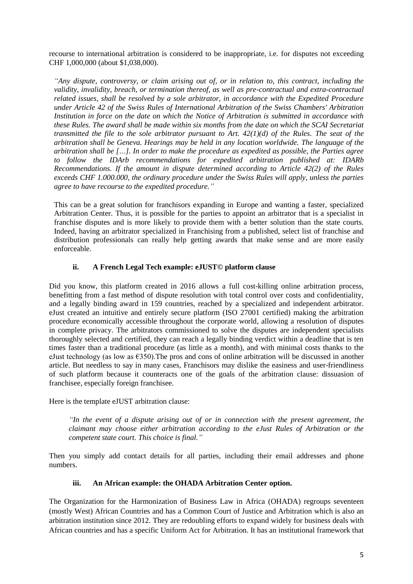recourse to international arbitration is considered to be inappropriate, i.e. for disputes not exceeding CHF 1,000,000 (about \$1,038,000).

*"Any dispute, controversy, or claim arising out of, or in relation to, this contract, including the validity, invalidity, breach, or termination thereof, as well as pre-contractual and extra-contractual related issues, shall be resolved by a sole arbitrator, in accordance with the Expedited Procedure under Article 42 of the Swiss Rules of International Arbitration of the Swiss Chambers' Arbitration Institution in force on the date on which the Notice of Arbitration is submitted in accordance with these Rules. The award shall be made within six months from the date on which the SCAI Secretariat transmitted the file to the sole arbitrator pursuant to Art. 42(1)(d) of the Rules. The seat of the arbitration shall be Geneva. Hearings may be held in any location worldwide. The language of the arbitration shall be […]. In order to make the procedure as expedited as possible, the Parties agree to follow the IDArb recommendations for expedited arbitration published at: [IDARb](https://www.idiproject.com/content/recommendations-idarb-expedited-arbitration)  [Recommendations.](https://www.idiproject.com/content/recommendations-idarb-expedited-arbitration) If the amount in dispute determined according to Article 42(2) of the Rules exceeds CHF 1.000.000, the ordinary procedure under the Swiss Rules will apply, unless the parties agree to have recourse to the expedited procedure."*

This can be a great solution for franchisors expanding in Europe and wanting a faster, specialized Arbitration Center. Thus, it is possible for the parties to appoint an arbitrator that is a specialist in franchise disputes and is more likely to provide them with a better solution than the state courts. Indeed, having an arbitrator specialized in Franchising from a published, select list of franchise and distribution professionals can really help getting awards that make sense and are more easily enforceable.

# **ii. A French Legal Tech example: eJUST© platform clause**

Did you know, this platform created in 2016 allows a full cost-killing online arbitration process, benefitting from a fast method of dispute resolution with total control over costs and confidentiality, and a legally binding award in 159 countries, reached by a specialized and independent arbitrator. eJust created an intuitive and entirely secure platform (ISO 27001 certified) making the arbitration procedure economically accessible throughout the corporate world, allowing a resolution of disputes in complete privacy. The arbitrators commissioned to solve the disputes are independent specialists thoroughly selected and certified, they can reach a legally binding verdict within a deadline that is ten times faster than a traditional procedure (as little as a month), and with minimal costs thanks to the eJust technology (as low as  $\epsilon$ 350). The pros and cons of online arbitration will be discussed in another article. But needless to say in many cases, Franchisors may dislike the easiness and user-friendliness of such platform because it counteracts one of the goals of the arbitration clause: dissuasion of franchisee, especially foreign franchisee.

Here is the template eJUST arbitration clause:

*"In the event of a dispute arising out of or in connection with the present agreement, the claimant may choose either arbitration according to the eJust Rules of Arbitration or the competent state court. This choice is final."*

Then you simply add contact details for all parties, including their email addresses and phone numbers.

## **iii. An African example: the OHADA Arbitration Center option.**

The Organization for the Harmonization of Business Law in Africa (OHADA) regroups seventeen (mostly West) African Countries and has a Common Court of Justice and Arbitration which is also an arbitration institution since 2012. They are redoubling efforts to expand widely for business deals with African countries and has a specific Uniform Act for Arbitration. It has an institutional framework that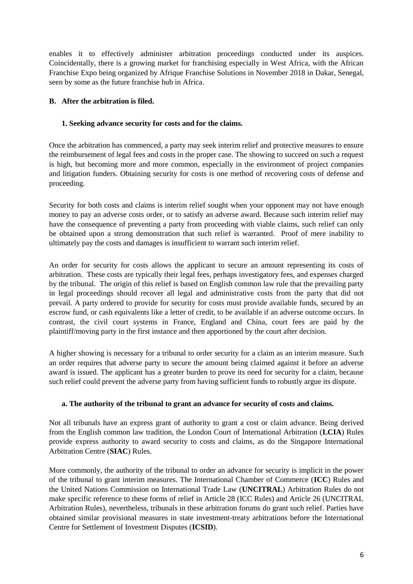enables it to effectively administer arbitration proceedings conducted under its auspices. Coincidentally, there is a growing market for franchising especially in West Africa, with the African Franchise Expo being organized by Afrique Franchise Solutions in November 2018 in Dakar, Senegal, seen by some as the future franchise hub in Africa.

# **B. After the arbitration is filed.**

## **1. Seeking advance security for costs and for the claims.**

Once the arbitration has commenced, a party may seek interim relief and protective measures to ensure the reimbursement of legal fees and costs in the proper case. The showing to succeed on such a request is high, but becoming more and more common, especially in the environment of project companies and litigation funders. Obtaining security for costs is one method of recovering costs of defense and proceeding.

Security for both costs and claims is interim relief sought when your opponent may not have enough money to pay an adverse costs order, or to satisfy an adverse award. Because such interim relief may have the consequence of preventing a party from proceeding with viable claims, such relief can only be obtained upon a strong demonstration that such relief is warranted. Proof of mere inability to ultimately pay the costs and damages is insufficient to warrant such interim relief.

An order for security for costs allows the applicant to secure an amount representing its costs of arbitration. These costs are typically their legal fees, perhaps investigatory fees, and expenses charged by the tribunal. The origin of this relief is based on English common law rule that the prevailing party in legal proceedings should recover all legal and administrative costs from the party that did not prevail. A party ordered to provide for security for costs must provide available funds, secured by an escrow fund, or cash equivalents like a letter of credit, to be available if an adverse outcome occurs. In contrast, the civil court systems in France, England and China, court fees are paid by the plaintiff/moving party in the first instance and then apportioned by the court after decision.

A higher showing is necessary for a tribunal to order security for a claim as an interim measure. Such an order requires that adverse party to secure the amount being claimed against it before an adverse award is issued. The applicant has a greater burden to prove its need for security for a claim, because such relief could prevent the adverse party from having sufficient funds to robustly argue its dispute.

## **a. The authority of the tribunal to grant an advance for security of costs and claims.**

Not all tribunals have an express grant of authority to grant a cost or claim advance. Being derived from the English common law tradition, the London Court of International Arbitration (**LCIA**) Rules provide express authority to award security to costs and claims, as do the Singapore International Arbitration Centre (**SIAC**) Rules.

More commonly, the authority of the tribunal to order an advance for security is implicit in the power of the tribunal to grant interim measures. The International Chamber of Commerce (**ICC**) Rules and the United Nations Commission on International Trade Law (**UNCITRAL**) Arbitration Rules do not make specific reference to these forms of relief in Article 28 (ICC Rules) and Article 26 (UNCITRAL Arbitration Rules), nevertheless, tribunals in these arbitration forums do grant such relief. Parties have obtained similar provisional measures in state investment-treaty arbitrations before the International Centre for Settlement of Investment Disputes (**ICSID**).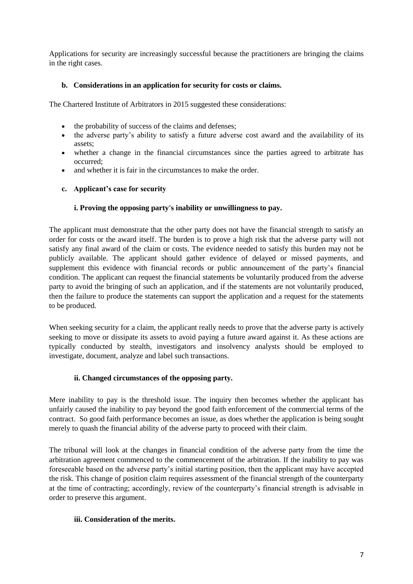Applications for security are increasingly successful because the practitioners are bringing the claims in the right cases.

## **b. Considerations in an application for security for costs or claims.**

The Chartered Institute of Arbitrators in 2015 suggested these considerations:

- the probability of success of the claims and defenses:
- the adverse party's ability to satisfy a future adverse cost award and the availability of its assets;
- whether a change in the financial circumstances since the parties agreed to arbitrate has occurred;
- and whether it is fair in the circumstances to make the order.

#### **c. Applicant's case for security**

## **i. Proving the opposing party's inability or unwillingness to pay.**

The applicant must demonstrate that the other party does not have the financial strength to satisfy an order for costs or the award itself. The burden is to prove a high risk that the adverse party will not satisfy any final award of the claim or costs. The evidence needed to satisfy this burden may not be publicly available. The applicant should gather evidence of delayed or missed payments, and supplement this evidence with financial records or public announcement of the party's financial condition. The applicant can request the financial statements be voluntarily produced from the adverse party to avoid the bringing of such an application, and if the statements are not voluntarily produced, then the failure to produce the statements can support the application and a request for the statements to be produced.

When seeking security for a claim, the applicant really needs to prove that the adverse party is actively seeking to move or dissipate its assets to avoid paying a future award against it. As these actions are typically conducted by stealth, investigators and insolvency analysts should be employed to investigate, document, analyze and label such transactions.

## **ii. Changed circumstances of the opposing party.**

Mere inability to pay is the threshold issue. The inquiry then becomes whether the applicant has unfairly caused the inability to pay beyond the good faith enforcement of the commercial terms of the contract. So good faith performance becomes an issue, as does whether the application is being sought merely to quash the financial ability of the adverse party to proceed with their claim.

The tribunal will look at the changes in financial condition of the adverse party from the time the arbitration agreement commenced to the commencement of the arbitration. If the inability to pay was foreseeable based on the adverse party's initial starting position, then the applicant may have accepted the risk. This change of position claim requires assessment of the financial strength of the counterparty at the time of contracting; accordingly, review of the counterparty's financial strength is advisable in order to preserve this argument.

## **iii. Consideration of the merits.**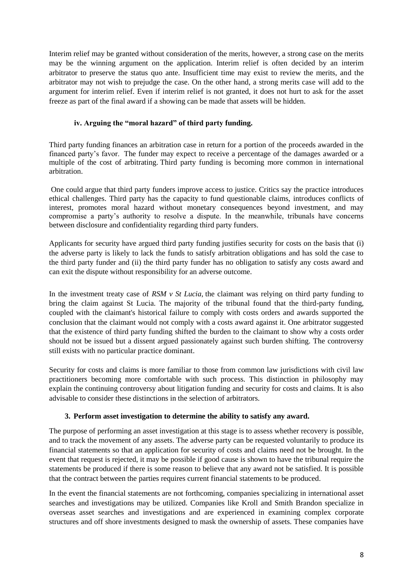Interim relief may be granted without consideration of the merits, however, a strong case on the merits may be the winning argument on the application. Interim relief is often decided by an interim arbitrator to preserve the status quo ante. Insufficient time may exist to review the merits, and the arbitrator may not wish to prejudge the case. On the other hand, a strong merits case will add to the argument for interim relief. Even if interim relief is not granted, it does not hurt to ask for the asset freeze as part of the final award if a showing can be made that assets will be hidden.

#### **iv. Arguing the "moral hazard" of third party funding.**

Third party funding finances an arbitration case in return for a portion of the proceeds awarded in the financed party's favor. The funder may expect to receive a percentage of the damages awarded or a multiple of the cost of arbitrating. Third party funding is becoming more common in international arbitration.

One could argue that third party funders improve access to justice. Critics say the practice introduces ethical challenges. Third party has the capacity to fund questionable claims, introduces conflicts of interest, promotes moral hazard without monetary consequences beyond investment, and may compromise a party's authority to resolve a dispute. In the meanwhile, tribunals have concerns between disclosure and confidentiality regarding third party funders.

Applicants for security have argued third party funding justifies security for costs on the basis that (i) the adverse party is likely to lack the funds to satisfy arbitration obligations and has sold the case to the third party funder and (ii) the third party funder has no obligation to satisfy any costs award and can exit the dispute without responsibility for an adverse outcome.

In the investment treaty case of *RSM v St Lucia*, the claimant was relying on third party funding to bring the claim against St Lucia. The majority of the tribunal found that the third-party funding, coupled with the claimant's historical failure to comply with costs orders and awards supported the conclusion that the claimant would not comply with a costs award against it. One arbitrator suggested that the existence of third party funding shifted the burden to the claimant to show why a costs order should not be issued but a dissent argued passionately against such burden shifting. The controversy still exists with no particular practice dominant.

Security for costs and claims is more familiar to those from common law jurisdictions with civil law practitioners becoming more comfortable with such process. This distinction in philosophy may explain the continuing controversy about litigation funding and security for costs and claims. It is also advisable to consider these distinctions in the selection of arbitrators.

## **3. Perform asset investigation to determine the ability to satisfy any award.**

The purpose of performing an asset investigation at this stage is to assess whether recovery is possible, and to track the movement of any assets. The adverse party can be requested voluntarily to produce its financial statements so that an application for security of costs and claims need not be brought. In the event that request is rejected, it may be possible if good cause is shown to have the tribunal require the statements be produced if there is some reason to believe that any award not be satisfied. It is possible that the contract between the parties requires current financial statements to be produced.

In the event the financial statements are not forthcoming, companies specializing in international asset searches and investigations may be utilized. Companies like Kroll and Smith Brandon specialize in overseas asset searches and investigations and are experienced in examining complex corporate structures and off shore investments designed to mask the ownership of assets. These companies have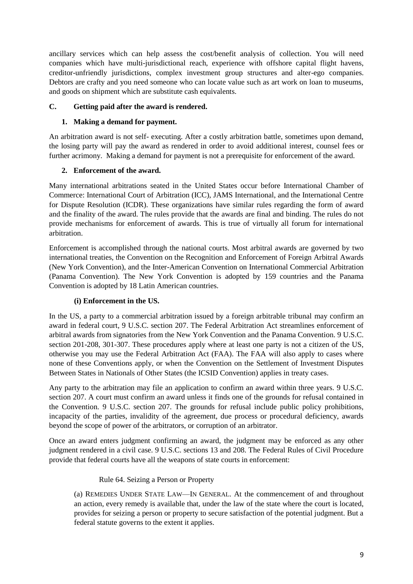ancillary services which can help assess the cost/benefit analysis of collection. You will need companies which have multi-jurisdictional reach, experience with offshore capital flight havens, creditor-unfriendly jurisdictions, complex investment group structures and alter-ego companies. Debtors are crafty and you need someone who can locate value such as art work on loan to museums, and goods on shipment which are substitute cash equivalents.

# **C. Getting paid after the award is rendered.**

## **1. Making a demand for payment.**

An arbitration award is not self- executing. After a costly arbitration battle, sometimes upon demand, the losing party will pay the award as rendered in order to avoid additional interest, counsel fees or further acrimony. Making a demand for payment is not a prerequisite for enforcement of the award.

# **2. Enforcement of the award.**

Many international arbitrations seated in the United States occur before International Chamber of Commerce: International Court of Arbitration (ICC), JAMS International, and the International Centre for Dispute Resolution (ICDR). These organizations have similar rules regarding the form of award and the finality of the award. The rules provide that the awards are final and binding. The rules do not provide mechanisms for enforcement of awards. This is true of virtually all forum for international arbitration.

Enforcement is accomplished through the national courts. Most arbitral awards are governed by two international treaties, the Convention on the Recognition and Enforcement of Foreign Arbitral Awards (New York Convention), and the Inter-American Convention on International Commercial Arbitration (Panama Convention). The New York Convention is adopted by 159 countries and the Panama Convention is adopted by 18 Latin American countries.

## **(i) Enforcement in the US.**

In the US, a party to a commercial arbitration issued by a foreign arbitrable tribunal may confirm an award in federal court, 9 U.S.C. section 207. The Federal Arbitration Act streamlines enforcement of arbitral awards from signatories from the New York Convention and the Panama Convention. 9 U.S.C. section 201-208, 301-307. These procedures apply where at least one party is not a citizen of the US, otherwise you may use the Federal Arbitration Act (FAA). The FAA will also apply to cases where none of these Conventions apply, or when the Convention on the Settlement of Investment Disputes Between States in Nationals of Other States (the ICSID Convention) applies in treaty cases.

Any party to the arbitration may file an application to confirm an award within three years. 9 U.S.C. section 207. A court must confirm an award unless it finds one of the grounds for refusal contained in the Convention. 9 U.S.C. section 207. The grounds for refusal include public policy prohibitions, incapacity of the parties, invalidity of the agreement, due process or procedural deficiency, awards beyond the scope of power of the arbitrators, or corruption of an arbitrator.

Once an award enters judgment confirming an award, the judgment may be enforced as any other judgment rendered in a civil case. 9 U.S.C. sections 13 and 208. The Federal Rules of Civil Procedure provide that federal courts have all the weapons of state courts in enforcement:

## Rule 64. Seizing a Person or Property

(a) REMEDIES UNDER STATE LAW—IN GENERAL. At the commencement of and throughout an action, every remedy is available that, under the law of the state where the court is located, provides for seizing a person or property to secure satisfaction of the potential judgment. But a federal statute governs to the extent it applies.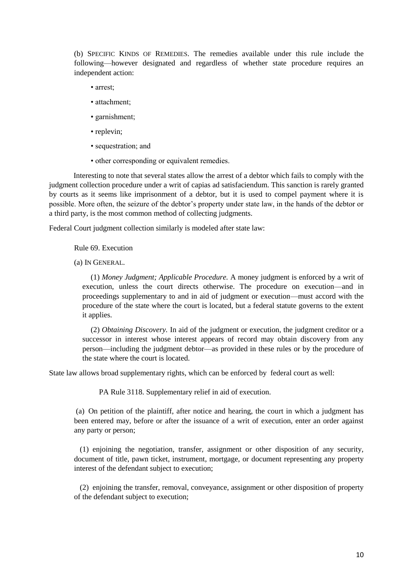(b) SPECIFIC KINDS OF REMEDIES. The remedies available under this rule include the following—however designated and regardless of whether state procedure requires an independent action:

- arrest;
- attachment;
- garnishment;
- replevin;
- sequestration; and
- other corresponding or equivalent remedies.

Interesting to note that several states allow the arrest of a debtor which fails to comply with the judgment collection procedure under a writ of capias ad satisfaciendum. This sanction is rarely granted by courts as it seems like imprisonment of a debtor, but it is used to compel payment where it is possible. More often, the seizure of the debtor's property under state law, in the hands of the debtor or a third party, is the most common method of collecting judgments.

Federal Court judgment collection similarly is modeled after state law:

Rule 69. Execution

(a) IN GENERAL.

(1) *Money Judgment; Applicable Procedure.* A money judgment is enforced by a writ of execution, unless the court directs otherwise. The procedure on execution—and in proceedings supplementary to and in aid of judgment or execution—must accord with the procedure of the state where the court is located, but a federal statute governs to the extent it applies.

(2) *Obtaining Discovery.* In aid of the judgment or execution, the judgment creditor or a successor in interest whose interest appears of record may obtain discovery from any person—including the judgment debtor—as provided in these rules or by the procedure of the state where the court is located.

State law allows broad supplementary rights, which can be enforced by federal court as well:

PA Rule 3118. Supplementary relief in aid of execution.

(a) On petition of the plaintiff, after notice and hearing, the court in which a judgment has been entered may, before or after the issuance of a writ of execution, enter an order against any party or person;

 (1) enjoining the negotiation, transfer, assignment or other disposition of any security, document of title, pawn ticket, instrument, mortgage, or document representing any property interest of the defendant subject to execution;

 (2) enjoining the transfer, removal, conveyance, assignment or other disposition of property of the defendant subject to execution;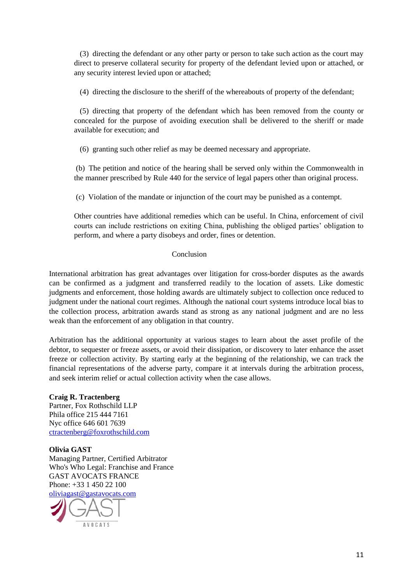(3) directing the defendant or any other party or person to take such action as the court may direct to preserve collateral security for property of the defendant levied upon or attached, or any security interest levied upon or attached;

(4) directing the disclosure to the sheriff of the whereabouts of property of the defendant;

 (5) directing that property of the defendant which has been removed from the county or concealed for the purpose of avoiding execution shall be delivered to the sheriff or made available for execution; and

(6) granting such other relief as may be deemed necessary and appropriate.

(b) The petition and notice of the hearing shall be served only within the Commonwealth in the manner prescribed by Rule 440 for the service of legal papers other than original process.

(c) Violation of the mandate or injunction of the court may be punished as a contempt.

Other countries have additional remedies which can be useful. In China, enforcement of civil courts can include restrictions on exiting China, publishing the obliged parties' obligation to perform, and where a party disobeys and order, fines or detention.

#### Conclusion

International arbitration has great advantages over litigation for cross-border disputes as the awards can be confirmed as a judgment and transferred readily to the location of assets. Like domestic judgments and enforcement, those holding awards are ultimately subject to collection once reduced to judgment under the national court regimes. Although the national court systems introduce local bias to the collection process, arbitration awards stand as strong as any national judgment and are no less weak than the enforcement of any obligation in that country.

Arbitration has the additional opportunity at various stages to learn about the asset profile of the debtor, to sequester or freeze assets, or avoid their dissipation, or discovery to later enhance the asset freeze or collection activity. By starting early at the beginning of the relationship, we can track the financial representations of the adverse party, compare it at intervals during the arbitration process, and seek interim relief or actual collection activity when the case allows.

**Craig R. Tractenberg**  Partner, Fox Rothschild LLP Phila office 215 444 7161 Nyc office 646 601 7639 [ctractenberg@foxrothschild.com](mailto:ctractenberg@foxrothschild.com)

## **Olivia GAST**

Managing Partner, Certified Arbitrator Who's Who Legal: Franchise and France GAST AVOCATS FRANCE Phone: +33 1 450 22 100 [oliviagast@gastavocats.com](mailto:oliviagast@gastavocats.com)